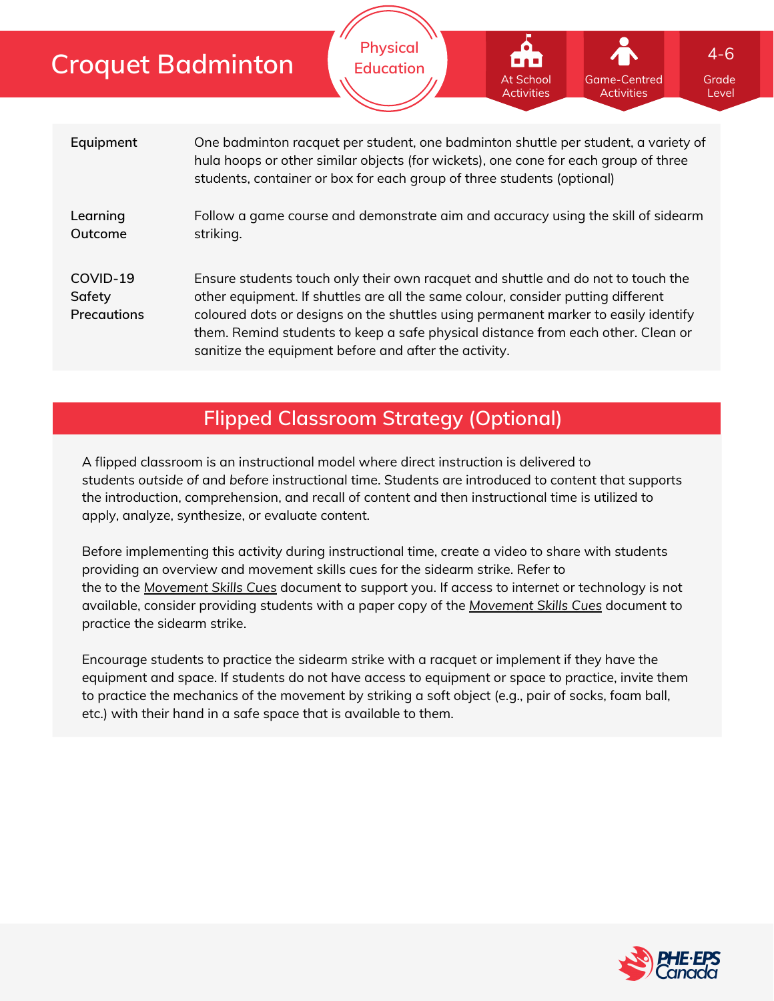|                                          | <b>Croquet Badminton</b>                                                                                                                                                                                                                                                                                                                                                                                | <b>Physical</b><br><b>Education</b>                                              | <b>.</b><br><b>At School</b><br><b>Activities</b> | Game-Centred<br><b>Activities</b> | $4 - 6$<br>Grade<br>Level |  |  |
|------------------------------------------|---------------------------------------------------------------------------------------------------------------------------------------------------------------------------------------------------------------------------------------------------------------------------------------------------------------------------------------------------------------------------------------------------------|----------------------------------------------------------------------------------|---------------------------------------------------|-----------------------------------|---------------------------|--|--|
| Equipment                                | One badminton racquet per student, one badminton shuttle per student, a variety of<br>hula hoops or other similar objects (for wickets), one cone for each group of three<br>students, container or box for each group of three students (optional)                                                                                                                                                     |                                                                                  |                                                   |                                   |                           |  |  |
| Learning<br>Outcome                      | striking.                                                                                                                                                                                                                                                                                                                                                                                               | Follow a game course and demonstrate aim and accuracy using the skill of sidearm |                                                   |                                   |                           |  |  |
| COVID-19<br>Safety<br><b>Precautions</b> | Ensure students touch only their own racquet and shuttle and do not to touch the<br>other equipment. If shuttles are all the same colour, consider putting different<br>coloured dots or designs on the shuttles using permanent marker to easily identify<br>them. Remind students to keep a safe physical distance from each other. Clean or<br>sanitize the equipment before and after the activity. |                                                                                  |                                                   |                                   |                           |  |  |

# **Flipped Classroom Strategy (Optional)**

A flipped classroom is an instructional model where direct instruction is delivered to students *outside of* and *before* instructional time. Students are introduced to content that supports the introduction, comprehension, and recall of content and then instructional time is utilized to apply, analyze, synthesize, or evaluate content.

Before implementing this activity during instructional time, create a video to share with students providing an overview and movement skills cues for the sidearm strike. Refer to the to the *[Movement](https://phecanada.ca/sites/default/files/content/docs/Home%20Learning%20Resource/Movement%20Cues/Movement%20Skills%20Cues%201.pdf) Skills Cues* document to support you. If access to internet or technology is not available, consider providing students with a paper copy of the *[Movement](https://phecanada.ca/sites/default/files/content/docs/Home%20Learning%20Resource/Movement%20Cues/Movement%20Skills%20Cues%201.pdf) Skills Cues* document to practice the sidearm strike.

Encourage students to practice the sidearm strike with a racquet or implement if they have the equipment and space. If students do not have access to equipment or space to practice, invite them to practice the mechanics of the movement by striking a soft object (e.g., pair of socks, foam ball, etc.) with their hand in a safe space that is available to them.

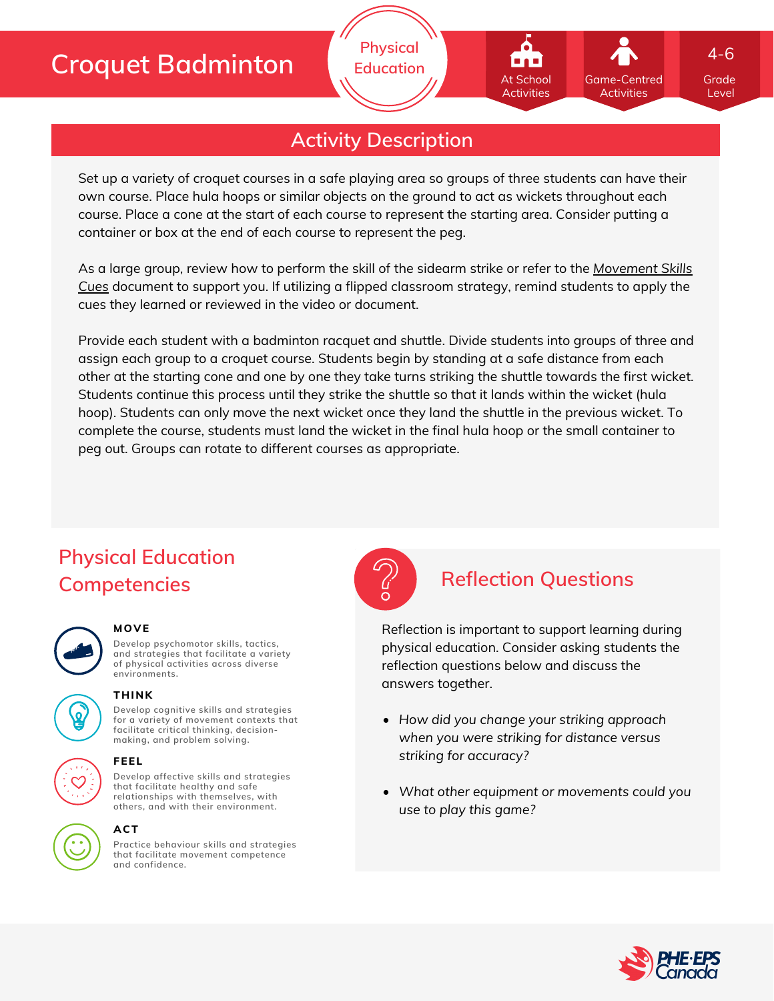# **Croquet Badminton**

## **Activity Description**

**Physical Education**

Set up a variety of croquet courses in a safe playing area so groups of three students can have their own course. Place hula hoops or similar objects on the ground to act as wickets throughout each course. Place a cone at the start of each course to represent the starting area. Consider putting a container or box at the end of each course to represent the peg.

As a large group, review how to perform the skill of the sidearm strike or refer to the *[Movement](https://phecanada.ca/sites/default/files/content/docs/Home%20Learning%20Resource/Movement%20Cues/Movement%20Skills%20Cues%201.pdf) Skills Cues* document to support you. If utilizing a flipped classroom strategy, remind students to apply the cues they learned or reviewed in the video or document.

Provide each student with a badminton racquet and shuttle. Divide students into groups of three and assign each group to a croquet course. Students begin by standing at a safe distance from each other at the starting cone and one by one they take turns striking the shuttle towards the first wicket. Students continue this process until they strike the shuttle so that it lands within the wicket (hula hoop). Students can only move the next wicket once they land the shuttle in the previous wicket. To complete the course, students must land the wicket in the final hula hoop or the small container to peg out. Groups can rotate to different courses as appropriate.

# **Physical Education Competencies Reflection Questions**

### **MOVE**

**Develop psychomotor skills, tactics, and strategies that facilitate a variety of physical activities across diverse environments.**



**Develop cognitive skills and strategies for a variety of movement contexts that facilitate critical thinking, decision making, and problem solving. THINK**

**Develop affective skills and strategies that facilitate healthy and safe relationships with themselves, with**



### **others, and with their environment. ACT**

**FEEL**

**Practice behaviour skills and strategies that facilitate movement competence and confidence.**



Reflection is important to support learning during physical education. Consider asking students the reflection questions below and discuss the answers together.

- *How did you change your striking approach when you were striking for distance versus striking for accuracy?*
- *What other equipment or movements could you use to play this game?*



Grade Level

4-6

Game-Centred Activities

At School **Activities**